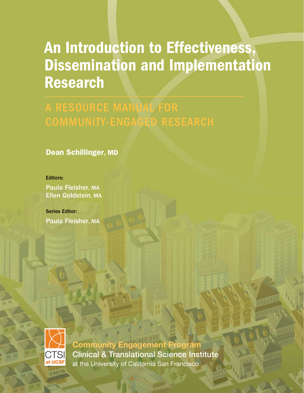# An Introduction to Effectiveness, Dissemination and Implementation Research

A RESOURCE MANUAL FOR

Dean Schillinger, MD

### Editors:

Paula Fleisher, MA Ellen Goldstein, MA

Series Editor: Paula Fleisher, MA



**Community Engagement Program** Clinical & Translational Science Institute at the University of California San Francisco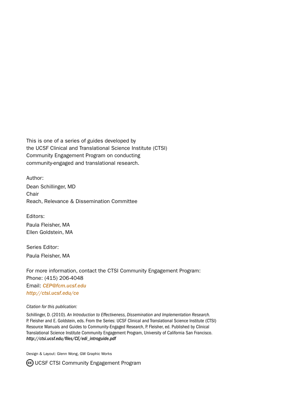This is one of a series of guides developed by the UCSF Clinical and Translational Science Institute (CTSI) Community Engagement Program on conducting community-engaged and translational research.

Author: Dean Schillinger, MD **Chair** Reach, Relevance & Dissemination Committee

Editors: Paula Fleisher, MA Ellen Goldstein, MA

Series Editor: Paula Fleisher, MA

For more information, contact the CTSI Community Engagement Program: Phone: (415) 206-4048 Email: *[CEP@fcm.ucsf.edu](mailto:CEP@fcm.ucsf.edu) <http://ctsi.ucsf.edu/ce>*

#### *Citation for this publication:*

Schillinger, D. (2010). *An Introduction to Effectiveness, Dissemination and Implementation Research.* P. Fleisher and E. Goldstein, eds. From the Series: UCSF Clinical and Translational Science Institute (CTSI) Resource Manuals and Guides to Community-Engaged Research, P. Fleisher, ed. Published by Clinical Translational Science Institute Community Engagement Program, University of California San Francisco. *http://ctsi.ucsf.edu/files/CE/edi\_introguide.pdf*

Design & Layout: Glenn Wong, GW Graphic Works

CO UCSF CTSI Community Engagement Program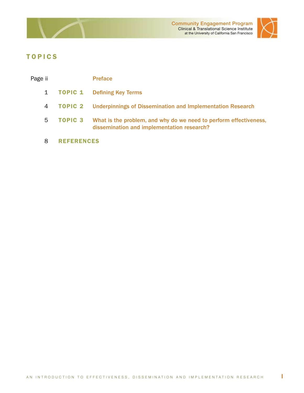



# <span id="page-2-0"></span>TOPICS

| Page ii      |                   | <b>Preface</b>                                                                                                  |
|--------------|-------------------|-----------------------------------------------------------------------------------------------------------------|
| $\mathbf{1}$ |                   | <b>TOPIC 1</b> Defining Key Terms                                                                               |
| 4            | TOPIC 2           | <b>Underpinnings of Dissemination and Implementation Research</b>                                               |
| 5            | <b>TOPIC 3</b>    | What is the problem, and why do we need to perform effectiveness,<br>dissemination and implementation research? |
| 8            | <b>REFERENCES</b> |                                                                                                                 |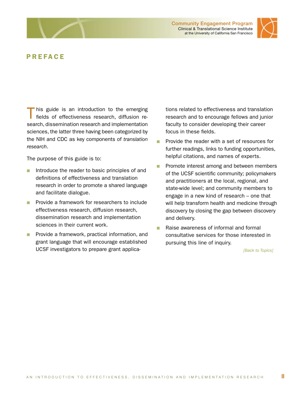



### PREFACE

This guide is an introduction to the emerging<br>fields of effectiveness research, diffusion research, dissemination research and implementation sciences, the latter three having been categorized by the NIH and CDC as key components of *translation research*.

The purpose of this guide is to:

- $\blacksquare$  Introduce the reader to basic principles of and definitions of effectiveness and translation research in order to promote a shared language and facilitate dialogue.
- **n** Provide a framework for researchers to include effectiveness research, diffusion research, dissemination research and implementation sciences in their current work.
- **n** Provide a framework, practical information, and grant language that will encourage established UCSF investigators to prepare grant applica-

tions related to effectiveness and translation research and to encourage fellows and junior faculty to consider developing their career focus in these fields.

- **n** Provide the reader with a set of resources for further readings, links to funding opportunities, helpful citations, and names of experts.
- **n** Promote interest among and between members of the UCSF scientific community; policymakers and practitioners at the local, regional, and state-wide level; and community members to engage in a new kind of research – one that will help transform health and medicine through discovery by closing the gap between discovery and delivery.
- Raise awareness of informal and formal consultative services for those interested in pursuing this line of inquiry.

*[\[Back to Topics\]](#page-2-0)*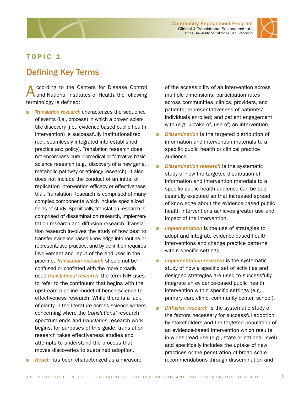

# <span id="page-4-0"></span>TOPIC 1

# Defining Key Terms

ccording to the Centers for Disease Control and National Institutes of Health, the following terminology is defined:

- **n** *Translation research* characterizes the sequence of events (i.e., process) in which a proven scientific discovery (i.e., evidence based public health intervention) is successfully institutionalized (i.e., seamlessly integrated into established practice and policy). Translation research does not encompass pure biomedical or formative basic science research (e.g., discovery of a new gene, metabolic pathway or etiology research). It also does not include the conduct of an initial or replication intervention efficacy or effectiveness trial. Translation Research is comprised of many complex components which include specialized fields of study. Specifically, translation research is comprised of dissemination research, implementation research and diffusion research. Translation research involves the study of how best to transfer evidence-based knowledge into routine or representative practice, and by definition requires involvement and input of the end-user in the pipeline. *Translation research* should not be confused or conflated with the more broadly used *translational research*, the term NIH uses to refer to the continuum that begins with the upstream pipeline model of bench science to effectiveness research. While there is a lack of clarity in the literature across science writers concerning where the *translational* research spectrum ends and *translation* research work begins, for purposes of this guide, translation research takes effectiveness studies and attempts to understand the process that moves discoveries to sustained adoption.
- **Reach** has been characterized as a measure

of the accessibility of an intervention across multiple dimensions: participation rates across communities, clinics, providers, and patients; representativeness of patients/ individuals enrolled; and patient engagement with (e.g. uptake of, use of) an intervention.

- **n** *Dissemination* is the targeted distribution of information and intervention materials to a specific public health or clinical practice audience.
- **Dissemination research is the systematic** study of how the targeted distribution of information and intervention materials to a specific public health audience can be successfully executed so that increased spread of knowledge about the evidence-based public health interventions achieves greater use and impact of the intervention.
- **n** *Implementation* is the use of strategies to adopt and integrate evidence-based health interventions and change practice patterns within specific settings.
- **n** *Implementation research* is the systematic study of how a specific set of activities and designed strategies are used to successfully integrate an evidence-based public health intervention within specific settings (e.g., primary care clinic, community center, school).
- **Diffusion research** is the systematic study of the factors necessary for successful adoption by stakeholders and the targeted population of an evidence-based intervention which results in widespread use (e.g., state or national level) and specifically includes the uptake of new practices or the penetration of broad scale recommendations through dissemination and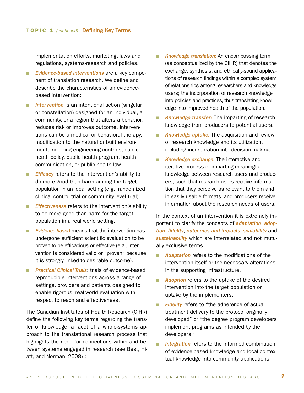implementation efforts, marketing, laws and regulations, systems-research and policies.

- **Evidence-based interventions are a key compo**nent of translation research. We define and describe the characteristics of an evidencebased intervention:
- **n** *Intervention* is an intentional action (singular or constellation) designed for an individual, a community, or a region that alters a behavior, reduces risk or improves outcome. Interventions can be a medical or behavioral therapy, modification to the natural or built environment, including engineering controls, public heath policy, public health program, health communication, or public health law.
- **Fficacy** refers to the intervention's ability to do more good than harm among the target population in an ideal setting (e.g., randomized clinical control trial or community-level trial).
- **Fffectiveness** refers to the intervention's ability to do more good than harm for the target population in a real world setting.
- **n** *Evidence-based* means that the intervention has undergone sufficient scientific evaluation to be proven to be efficacious or effective (e.g., intervention is considered valid or "proven" because it is strongly linked to desirable outcome).
- **n** *Practical Clinical Trials*: trials of evidence-based, reproducible interventions across a range of settings, providers and patients designed to enable rigorous, real-world evaluation with respect to reach and effectiveness.

The Canadian Institutes of Health Research (CIHR) define the following key terms regarding the transfer of knowledge, a facet of a whole-systems approach to the translational research process that highlights the need for connections within and between systems engaged in research (see Best, Hiatt, and Norman, 2008) :

- **K** *Knowledge translation:* An encompassing term (as conceptualized by the CIHR) that denotes the exchange, synthesis, and ethically-sound applications of research findings within a complex system of relationships among researchers and knowledge users; the incorporation of research knowledge into policies and practices, thus translating knowledge into improved health of the population.
- **n** *Knowledge transfer:* The imparting of research knowledge from producers to potential users.
- **K** *Knowledge uptake:* The acquisition and review of research knowledge and its utilization, including incorporation into decision-making.
- **n** *Knowledge exchange:* The interactive and iterative process of imparting meaningful knowledge between research users and producers, such that research users receive information that they perceive as relevant to them and in easily usable formats, and producers receive information about the research needs of users.

In the context of an intervention it is extremely important to clarify the concepts of *adaptation*, *adoption*, *fidelity*, *outcomes and impacts*, *scalability* and *sustainability* which are interrelated and not mutually exclusive terms.

- Adaptation refers to the modifications of the intervention itself or the necessary alterations in the supporting infrastructure.
- **Adoption** refers to the uptake of the desired intervention into the target population or uptake by the implementers.
- **Fidelity** refers to "the adherence of actual treatment delivery to the protocol originally developed" or "the degree program developers implement programs as intended by the developers."
- **n** *Integration* refers to the informed combination of evidence-based knowledge and local contextual knowledge into community applications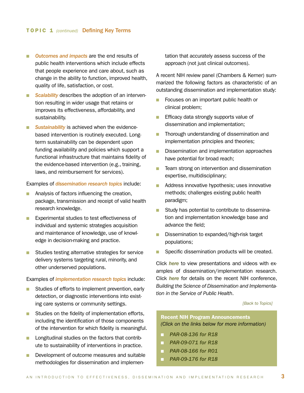- **n** Outcomes and impacts are the end results of public health interventions which include effects that people experience and care about, such as change in the ability to function, improved health, quality of life, satisfaction, or cost.
- **n Scalability** describes the adoption of an intervention resulting in wider usage that retains or improves its effectiveness, affordability, and sustainability.
- **Number 1** Sustainability is achieved when the evidencebased intervention is routinely executed. Longterm sustainability can be dependent upon funding availability and policies which support a functional infrastructure that maintains fidelity of the evidence-based intervention (e.g., training, laws, and reimbursement for services).

Examples of *dissemination research topics* include:

- Analysis of factors influencing the creation, package, transmission and receipt of valid health research knowledge.
- **Experimental studies to test effectiveness of** individual and systemic strategies acquisition and maintenance of knowledge, use of knowledge in decision-making and practice.
- **n** Studies testing alternative strategies for service delivery systems targeting rural, minority, and other underserved populations.

#### Examples of *implementation research topics* include:

- **n** Studies of efforts to implement prevention, early detection, or diagnostic interventions into existing care systems or community settings.
- $\blacksquare$  Studies on the fidelity of implementation efforts, including the identification of those components of the intervention for which fidelity is meaningful.
- **n** Longitudinal studies on the factors that contribute to sustainability of interventions in practice.
- Development of outcome measures and suitable methodologies for dissemination and implemen-

tation that accurately assess success of the approach (not just clinical outcomes).

A recent NIH review panel (Chambers & Kerner) summarized the following factors as characteristic of an outstanding dissemination and implementation study:

- **n** Focuses on an important public health or clinical problem;
- **n** Efficacy data strongly supports value of dissemination and implementation;
- n Thorough understanding of dissemination and implementation principles and theories;
- **n** Dissemination and implementation approaches have potential for broad reach;
- **n** Team strong on intervention and dissemination expertise, multidisciplinary;
- **n** Address innovative hypothesis; uses innovative methods; challenges existing public health paradigm;
- **n** Study has potential to contribute to dissemination and implementation knowledge base and advance the field;
- Dissemination to expanded/high-risk target populations;
- Specific dissemination products will be created.

Click *[here](http://cancercontrol.cancer.gov/d4d/dissemination_implement_rw.html)* to view presentations and videos with examples of dissemination/implementation research. Click *[here](http://obssr.od.nih.gov/di2007/index.html)* for details on the recent NIH conference, *Building the Science of Dissemination and Implementation in the Service of Public Health*.

*[\[Back to Topics\]](#page-2-0)*

### Recent NIH Program Announcements *(Click on the links below for more information)*

- n *[PAR-08-136 for R18](http://grants.nih.gov/grants/guide/pa-files/PAR-08-136.html)*
- **[PAR-09-071 for R18](http://grants.nih.gov/grants/guide/pa-files/PA-09-071.html)**
- n *[PAR-08-166 for R01](http://grants.nih.gov/grants/guide/pa-files/PA-08-166.html)*
- n *[PAR-09-176 for R18](http://grants.nih.gov/grants/guide/pa-files/PAR-09-176.html)*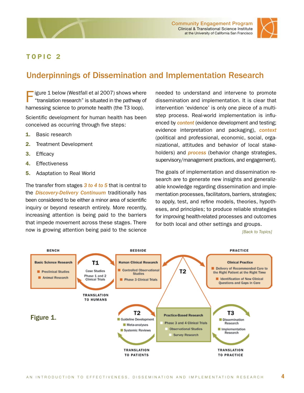<span id="page-7-0"></span>



# TOPIC 2

# Underpinnings of Dissemination and Implementation Research

igure 1 below (Westfall et al 2007) shows where "translation research" is situated in the pathway of harnessing science to promote health (the T3 loop).

Scientific development for human health has been conceived as occurring through five steps:

- 1. Basic research
- 2. Treatment Development
- 3. Efficacy
- 4. Effectiveness
- 5. Adaptation to Real World

The transfer from stages *3 to 4 to 5* that is central to the *Discovery-Delivery Continuum* traditionally has been considered to be either a minor area of scientific inquiry or beyond research entirely. More recently, increasing attention is being paid to the barriers that impede movement across these stages. There now is growing attention being paid to the science needed to understand and intervene to promote dissemination and implementation. It is clear that intervention 'evidence' is only one piece of a multistep process. Real-world implementation is influenced by *content* (evidence development and testing; evidence interpretation and packaging), *context* (political and professional, economic, social, organizational, attitudes and behavior of local stakeholders) and *process* (behavior change strategies, supervisory/management practices, and engagement).

The goals of implementation and dissemination research are to generate new insights and generalizable knowledge regarding dissemination and implementation processes, facilitators, barriers, strategies; to apply, test, and refine models, theories, hypotheses, and principles; to produce reliable strategies for improving health-related processes and outcomes for both local and other settings and groups.

*[\[Back to Topics\]](#page-2-0)*

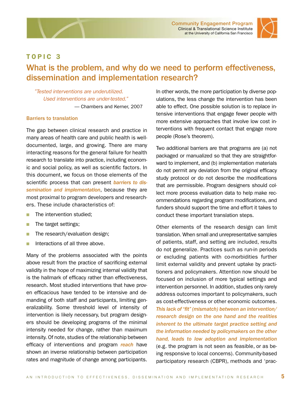Community Engagement Program Clinical & Translational Science Institute at the University of California San Francisco



### <span id="page-8-0"></span>TOPIC 3

# What is the problem, and why do we need to perform effectiveness, dissemination and implementation research?

 *"Tested interventions are underutilized. Used interventions are under-tested."*  — Chambers and Kerner, 2007

#### Barriers to translation

The gap between clinical research and practice in many areas of health care and public health is welldocumented, large, and growing. There are many interacting reasons for the general failure for health research to translate into practice, including economic and social policy, as well as scientific factors. In this document, we focus on those elements of the scientific process that can present *barriers to dissemination and implementation*, because they are most proximal to program developers and researchers. These include characteristics of:

- n The intervention studied:
- $\blacksquare$  The target settings;
- The research/evaluation design;
- **n** Interactions of all three above.

Many of the problems associated with the points above result from the practice of sacrificing external validity in the hope of maximizing internal validity that is the hallmark of efficacy rather than effectiveness, research. Most studied interventions that have proven efficacious have tended to be intensive and demanding of both staff and participants, limiting generalizability. Some threshold level of intensity of intervention is likely necessary, but program designers should be developing programs of the minimal intensity needed for change, rather than maximum intensity. Of note, studies of the relationship between efficacy of interventions and program *reach* have shown an inverse relationship between participation rates and magnitude of change among participants.

In other words, the more participation by diverse populations, the less change the intervention has been able to effect. One possible solution is to replace intensive interventions that engage fewer people with more extensive approaches that involve low cost interventions with frequent contact that engage more people (Rose's theorem).

Two additional barriers are that programs are (a) not packaged or manualized so that they are straightforward to implement, and (b) implementation materials do not permit any deviation from the original efficacy study protocol or do not describe the modifications that are permissible. Program designers should collect more process evaluation data to help make recommendations regarding program modifications, and funders should support the time and effort it takes to conduct these important translation steps.

Other elements of the research design can limit translation. When small and unrepresentative samples of patients, staff, and setting are included, results do not generalize. Practices such as run-in periods or excluding patients with co-morbidities further limit external validity and prevent uptake by practitioners and policymakers. Attention now should be focused on inclusion of more typical settings and intervention personnel. In addition, studies only rarely address outcomes important to policymakers, such as cost-effectiveness or other economic outcomes. *This lack of "fit" (mismatch) between an intervention/ research design on the one hand and the realities inherent to the ultimate target practice setting and the information needed by policymakers on the other hand, leads to low adoption and implementation* (e.g. the program is not seen as feasible, or as being responsive to local concerns). Community-based participatory research (CBPR), methods and 'prac-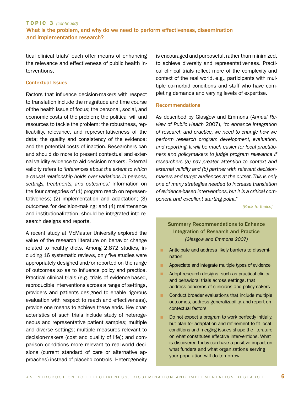### TOPIC 3 *(continued)*  What is the problem, and why do we need to perform effectiveness, dissemination and implementation research?

tical clinical trials' each offer means of enhancing the relevance and effectiveness of public health interventions.

#### Contextual Issues

Factors that influence decision-makers with respect to translation include the magnitude and time course of the health issue of focus; the personal, social, and economic costs of the problem; the political will and resources to tackle the problem; the robustness, replicability, relevance, and representativeness of the data; the quality and consistency of the evidence; and the potential costs of inaction. Researchers can and should do more to present contextual and external validity evidence to aid decision makers. External validity refers to *'inferences about the extent to which a causal relationship holds over variations in persons, settings, treatments, and outcomes.'* Information on the four categories of (1) program reach on representativeness; (2) implementation and adaptation; (3) outcomes for decision-making; and (4) maintenance and institutionalization, should be integrated into research designs and reports.

A recent study at McMaster University explored the value of the research literature on behavior change related to healthy diets. Among 2,872 studies, including 16 systematic reviews, only five studies were appropriately designed and/or reported on the range of outcomes so as to influence policy and practice. Practical clinical trials (e.g. trials of evidence-based, reproducible interventions across a range of settings, providers and patients designed to enable rigorous evaluation with respect to reach and effectiveness), provide one means to achieve these ends. Key characteristics of such trials include study of heterogeneous and representative patient samples; multiple and diverse settings; multiple measures relevant to decision-makers (cost and quality of life); and comparison conditions more relevant to real-world decisions (current standard of care or alternative approaches) instead of placebo controls. Heterogeneity

is encouraged and purposeful, rather than minimized, to achieve diversity and representativeness. Practical clinical trials reflect more of the complexity and context of the real world, e.g., participants with multiple co-morbid conditions and staff who have completing demands and varying levels of expertise.

#### Recommendations

As described by Glasgow and Emmons (*Annual Review of Public Health* 2007), *"to enhance integration of research and practice, we need to change how we perform research program development, evaluation, and reporting. It will be much easier for local practitioners and policymakers to judge program relevance if researchers (a) pay greater attention to context and external validity and (b) partner with relevant decisionmakers and target audiences at the outset. This is only one of many strategies needed to increase translation of evidence-based interventions, but it is a critical component and excellent starting point."*

*[\[Back to Topics\]](#page-2-0)*

### Summary Recommendations to Enhance Integration of Research and Practice *(Glasgow and Emmons 2007)*

- **n** Anticipate and address likely barriers to dissemination
- **n** Appreciate and integrate multiple types of evidence
- Adopt research designs, such as practical clinical and behavioral trials across settings, that address concerns of clinicians and policymakers
- **n** Conduct broader evaluations that include multiple outcomes, address generalizability, and report on contextual factors
- Do not expect a program to work perfectly initially, but plan for adaptation and refinement to fit local conditions and merging issues shape the literature on what constitutes effective interventions. What is discovered today can have a positive impact on what funders and what organizations serving your population will do tomorrow.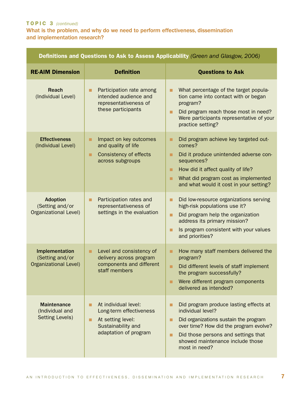### TOPIC 3 *(continued)*

What is the problem, and why do we need to perform effectiveness, dissemination and implementation research?

| Definitions and Questions to Ask to Assess Applicability (Green and Glasgow, 2006) |                                                                                                                          |                                                                                                                                                                                                                                                      |  |  |
|------------------------------------------------------------------------------------|--------------------------------------------------------------------------------------------------------------------------|------------------------------------------------------------------------------------------------------------------------------------------------------------------------------------------------------------------------------------------------------|--|--|
| <b>RE-AIM Dimension</b>                                                            | <b>Definition</b>                                                                                                        | <b>Questions to Ask</b>                                                                                                                                                                                                                              |  |  |
| <b>Reach</b><br>(Individual Level)                                                 | Participation rate among<br>intended audience and<br>representativeness of<br>these participants                         | What percentage of the target popula-<br>tion came into contact with or began<br>program?<br>Did program reach those most in need?<br>П<br>Were participants representative of your<br>practice setting?                                             |  |  |
| <b>Effectiveness</b><br>(Individual Level)                                         | Impact on key outcomes<br>п<br>and quality of life<br><b>Consistency of effects</b><br>٠<br>across subgroups             | Did program achieve key targeted out-<br>■<br>comes?<br>Did it produce unintended adverse con-<br>п<br>sequences?<br>How did it affect quality of life?<br>■<br>What did program cost as implemented<br>■<br>and what would it cost in your setting? |  |  |
| <b>Adoption</b><br>(Setting and/or<br><b>Organizational Level)</b>                 | Participation rates and<br>П<br>representativeness of<br>settings in the evaluation                                      | Did low-resource organizations serving<br>П<br>high-risk populations use it?<br>Did program help the organization<br>■<br>address its primary mission?<br>Is program consistent with your values<br>■<br>and priorities?                             |  |  |
| Implementation<br>(Setting and/or<br><b>Organizational Level)</b>                  | Level and consistency of<br>■<br>delivery across program<br>components and different<br>staff members                    | How many staff members delivered the<br>■<br>program?<br>Did different levels of staff implement<br>■<br>the program successfully?<br>Were different program components<br>п<br>delivered as intended?                                               |  |  |
| <b>Maintenance</b><br>(Individual and<br><b>Setting Levels)</b>                    | At individual level:<br>■<br>Long-term effectiveness<br>At setting level:<br>Sustainability and<br>adaptation of program | Did program produce lasting effects at<br>individual level?<br>Did organizations sustain the program<br>■<br>over time? How did the program evolve?<br>Did those persons and settings that<br>п<br>showed maintenance include those<br>most in need? |  |  |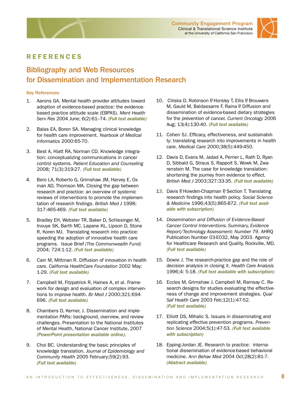



## <span id="page-11-0"></span>**REFERENCES**

# Bibliography and Web Resources for Dissemination and Implementation Research

#### Key References:

- 1. Aarons GA. Mental health provider attitudes toward adoption of evidence-based practice: the evidencebased practice attitude scale (EBPAS). *Ment Health Serv Res* 2004 June; 6(2):61–74. *[\(Full text available\)](http://www.pubmedcentral.nih.gov/articlerender.fcgi?artid=1564126)*
- 2. Balas EA, Boren SA. Managing clinical knowledge for health care improvement. *Yearbook of Medical Informatics* 2000:65-70.
- 3. Best A, Hiatt RA, Norman CD. Knowledge integration: conceptualizing communications in cancer control systems. *Patient Education and Counseling* 2008; 71(3):319-27. *[\(Full text available\)](http://www.sciencedirect.com/science?_ob=ArticleURL&_udi=B6TBC-4S7S2NK-1&_user=4430&_rdoc=1&_fmt=&_orig=search&_sort=d&_docanchor=&view=c&_acct=C000059594&_version=1&_urlVersion=0&_userid=4430&md5=e647e923611983c29072a7ebfbf64910)*
- 4. Bero LA, Roberto G, Grimshaw JM, Harvey E, Oxman AD, Thomson MA. Closing the gap between research and practice: an overview of systemic reviews of interventions to promote the implementation of research findings. *British Med J* 1998; 317:465-469. *[\(Full text available\)](http://www.bmj.com/cgi/content/full/317/7156/465?maxtoshow=&HITS=10&hits=10&RESULTFORMAT=1&title=Closing+the+gap+between+research+and+practice%253A+An+overview+of+systemic+reviews&andorexacttitle=and&andorexacttitleabs=and&andorexactfulltext=and&searchid=1085150948671_10717&stored_search=&FIRSTINDEX=0&sortspec=relevance&volume=317&firstpage=465&tdate=12/31/1998&resourcetype=1,2,3,4)*
- 5. Bradley EH, Webster TR, Baker D, Schlesinger M, Inouye SK, Barth MC, Lapane KL, Lipson D, Stone R, Koren MJ. Translating research into practice: speeding the adoption of innovative health care programs. Issue Brief *(The Commonwealth Fund)* 2004; 724:1-12. *[\(Full text available\)](http://cmwf.org/publications/publications_show.htm?doc_id=233248)*
- 6. Cain M, Mittman R. Diffusion of innovation in health care. *California HealthCare Foundation* 2002 May: 1-29. *[\(Full text available\)](http://www.chcf.org/topics/view.cfm?itemID=19772)*
- 7. Campbell M, Fitzpatrick R, Haines A, et al. Framework for design and evaluation of complex interventions to improve health. *Br Med J* 2000;321:694- 696. *[\(Full text available\)](http://www.bmj.com/cgi/reprint/321/7262/694)*
- 8. Chambers D, Kerner, J. Dissemination and implementation PARs: background, overview, and review challenges. Presentation to the National Institutes of Mental Health, National Cancer Institute, 2007 *[\(PowerPoint presentation available online\)](http://conferences.thehillgroup.com/conferences/di2007/daytwo/1_Chambers_Kerner_Day 2.pdf)*.
- 9. Choi BC. Understanding the basic principles of knowledge translation. *Journal of Epidemiology and Community Health* 2005 February;59(2):93. *[\(Full text available\)](http://jech.bmj.com/cgi/content/full/59/2/93)*
- 10. Ciliska D, Robinson P, Horsley T, Ellis P, Brouwers M, Gauld M, Baldassarre F, Raina P. Diffusion and dissemination of evidence-based dietary strategies for the prevention of cancer. *Current Oncology* 2006 Aug; 13(4):130-40. *[\(Full text available\)](http://www.nutritionj.com/content/4/1/13)*
- 11. Cohen SJ. Efficacy, effectiveness, and sustainability: translating research into improvements in health care. *Medical Care* 2000;38(5):449-450.
- 12. Davis D, Evans M, Jadad A, Perrier L, Rath D, Ryan D, Sibbald G, Straus S, Rappolt S, Wowk M, Zwarenstein M. The case for knowledge translation: shortening the journey from evidence to effect. *British Med J* 2003;327:33-35. *[\(Full text available\)](http://www.bmj.com/cgi/content/full/327/7405/33)*
- 13. Davis P, Howden-Chapman P, Section T. Translating research findings into health policy. *Social Science & Medicine* 1996;43(5):865-872. *[\(Full text avail](http://www.sciencedirect.com/science?_ob=ArticleURL&_udi=B6VBF-3VW8J05-33&_user=10&_handle=B-WA-A-A-BA-MsSAYZW-UUW-AUYDDBDZBE-AUYCBAYVBE-VWZZVECWU-BA-U&_fmt=summary&_coverDate=09%2F30%2F1996&_rdoc=28&_orig=browse&_srch=%23toc%235925%231996%23999569994%2367255!&_cdi=5925&view=c&_acct=C000050221&_version=1&_urlVersion=0&_userid=10&md5=ce6a28affdba976a9d383f5f87100e22)[able with subscription\)](http://www.sciencedirect.com/science?_ob=ArticleURL&_udi=B6VBF-3VW8J05-33&_user=10&_handle=B-WA-A-A-BA-MsSAYZW-UUW-AUYDDBDZBE-AUYCBAYVBE-VWZZVECWU-BA-U&_fmt=summary&_coverDate=09%2F30%2F1996&_rdoc=28&_orig=browse&_srch=%23toc%235925%231996%23999569994%2367255!&_cdi=5925&view=c&_acct=C000050221&_version=1&_urlVersion=0&_userid=10&md5=ce6a28affdba976a9d383f5f87100e22)*
- 14. *Dissemination and Diffusion of Evidence-Based Cancer Control Interventions. Summary, Evidence Report/Technology Assessment: Number 79*. AHRQ Publication Number 03-E032, May 2003. Agency for Healthcare Research and Quality, Rockville, MD. *[\(Full text available\)](http://www.ahrq.gov/clinic/epcsums/canconsum.htm)*
- 15. Dowie J. The research-practice gap and the role of decision analysis in closing it. *Health Care Analysis*  1996;4: 5-18. *[\(Full text available with subscription\)](http://www.springerlink.com/content/f8576514u7563jn8/fulltext.pdf)*
- 16. Eccles M, Grimshaw J, Campbell M, Ramsay C. Research designs for studies evaluating the effectiveness of change and improvement strategies. *Qual Saf Health Care* 2003 Feb;12(1):47-52. *[\(Full text available\)](http://qshc.bmj.com/cgi/content/full/12/1/47)*
- 17. Elliott DS, Mihalic S. Issues in disseminating and replicating effective prevention programs. *Prevention Science* 2004;5(1):47-53. *[\(Full text available](http://www.springerlink.com/content/n4573450u34uk762/fulltext.pdf)  [with subscription\)](http://www.springerlink.com/content/n4573450u34uk762/fulltext.pdf)*
- 18. Epping-Jordan JE. Research to practice: international dissemination of evidence-based behavioral medicine. *Ann Behav Med* 2004 Oct;28(2):81-7. *[\(Abstract available\)](http://www.ncbi.nlm.nih.gov/pubmed/15454354?dopt=Abstract)*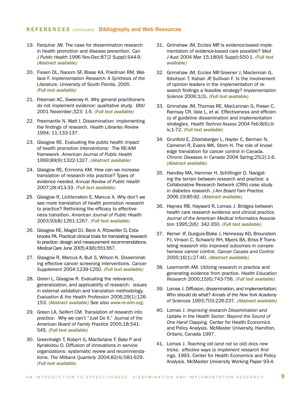#### REFERENCES *(continued)* Bibliography and Web Resources

- 19. Farquhar JW. The case for dissemination research in health promotion and disease prevention. *Can J Public Health* 1996 Nov-Dec;87(2 Suppl):S44-9. *[\(Abstract available\)](http://www.ncbi.nlm.nih.gov/pubmed/9002343?dopt=Abstract)*
- 20. Fixsen DL, Naoom SF, Blase KA, Friedman RM, Wallace F. *Implementation Research: A Synthesis of the Literature.* University of South Florida, 2005. *[\(Full text available\)](http://nirn.fmhi.usf.edu/resources/publications/Monograph)*
- 21. Freeman AC, Sweeney K. Why general practitioners do not implement evidence: qualitative study. *BMJ*  2001 November;323: 1-5. *[\(Full text available\)](http://www.bmj.com/cgi/content/full/323/7321/1100)*
- 22. Freemantle N, Watt I. Dissemination: implementing the findings of research. *Health Libraries Review* 1994; 11:133-137.
- 23. Glasgow RE. Evaluating the public health impact of health promotion interventions: The RE-AIM framework. *American Journal of Public Health* 1999;89(9):1322-1327. *[\(Abstract available\)](http://www.ajph.org/cgi/content/abstract/89/9/1322)*
- 24. Glasgow RE, Emmons KM. How can we increase translation of research into practice? Types of evidence needed. *Annual Review of Public Health* 2007;28:413-33. *[\(Full text available\)](http://arjournals.annualreviews.org/doi/abs/10.1146/annurev.publhealth.28.021406.144145?url_ver=Z39.88-2003&rfr_id=ori:rid:crossref.org&rfr_dat=cr_pub%3dncbi.nlm.nih.gov)*
- 25. Glasgow R, Lichtenstein E, Marcus A. Why don't we see more translation of health promotion research to practice? Rethinking the efficacy to effectiveness transition. *American Journal of Public Health* 2003;93(8):1261-1267. *[\(Full text available\)](http://ajph.aphapublications.org/cgi/reprint/93/8/1261)*
- 26. Glasgow RE, Magid DJ, Beck A, Ritzwoller D, Estabrooks PA. Practical clinical trials for translating research to practice: design and measurement recommendations. *Medical Care* June 2005;43(6):551-557.
- 27. Glasgow R, Marcus A, Bull S, Wilson K. Disseminating effective cancer screening interventions. *Cancer Supplement* 2004:1239-1250. *[\(Full text available\)](http://www3.interscience.wiley.com/journal/109569613/abstract?CRETRY=1&SRETRY=0)*
- 28. Green L, Glasgow R. Evaluating the relevance, generalization, and applicability of research: issues in external validation and translation methodology. *Evaluation & the Health Profession* 2006;29(1):126- 153. *[\(Abstract available\)](http://www.ncbi.nlm.nih.gov/pubmed/16510882?dopt=AbstractPlus)* See also *[www.re-aim.org](http://re-aim.org/)*.
- 29. Green LA, Seifert CM. Translation of research into practice: Why we can't "Just Do It." *Journal of the American Board of Family Practice* 2005;18:541- 545. *[\(Full text available\)](http://www.jabfm.org/cgi/content/abstract/18/6/541)*
- 30. Greenhalgh T, Robert G, Macfarlane F, Bate P and Kyriakidou O. Diffusion of innovations in service organizations: systematic review and recommendations. *The Milbank Quarterly* 2004;82(4):581-629. *[\(Full text available\)](http://www.ncbi.nlm.nih.gov/pubmed/15595944?dopt=Citation)*
- 31. Grimshaw JM, Eccles MP. Is evidence-based implementation of evidence-based care possible? *Med J Aust* 2004 Mar 15;180(6 Suppl):S50-1. *[\(Full text](http://www.mja.com.au/public/issues/180_06_150304/gri10746_fm.html)  [available\)](http://www.mja.com.au/public/issues/180_06_150304/gri10746_fm.html)*
- 32. Grimshaw JM, Eccles MP, Greener J, Maclennan G, Ibbotson T, Kahan JP, Sullivan F. Is the involvement of opinion leaders in the implementation of research findings a feasible strategy? *Implementation Science* 2006;1(3). *[\(Full text available\)](http://www.implementationscience.com/content/1/1/3)*
- 33. Grimshaw JM, Thomas RE, MacLennan G, Fraser C, Ramsay CR, Vale L, et al. Effectiveness and efficiency of guideline dissemination and implementation strategies. *Health Technol Assess* 2004 Feb;8(6):iiiiv,1-72. *[\(Full text available\)](http://www.hta.ac.uk/fullmono/mon806.pdf)*
- 34. Grunfeld E, Zitzelsberger L, Hayter C, Berman N, Cameron R, Evans WK, Stern H. The role of knowledge translation for cancer control in Canada. *Chronic Diseases in Canada* 2004 Spring;25(2):1-6. *[\(Abstract available\)](http://www.ncbi.nlm.nih.gov/pubmed/15554605?dopt=Citation)*
- 35. Handley MA, Hammer H, Schillinger D. Navigating the terrain between research and practice: a Collaborative Research Network (CRN) case study in diabetes research. *J Am Board Fam Practice* 2006.19:85-92. *[\(Abstract available\)](http://www.ncbi.nlm.nih.gov/pubmed/16492010)*
- 36. Haynes RB, Hayward R, Lomas J. Bridges between health care research evidence and clinical practice. *Journal of the American Medical Informatics Associatio*n 1995;2(6): 342-350. *[\(Full text available\)](http://jamia.bmj.com/content/2/6/342.full.pdf)*
- 37. Kerner JF, Guirguis-Blake J, Hennessy KD, Brounstein PJ, Vinson C, Schwartz RH, Myers BA, Briss P. Translating research into improved outcomes in comprehensive cancer control. *Cancer Causes and Control* 2005;16(1):27-40. *[\(Abstract available\)](http://www.springerlink.com/content/34qu4h3n87640163/)*
- 38. Learmonth AM. Utilizing research in practice and generating evidence from practice. *Health Education Research* 2000;15(6):743-756. *[\(Full text available\)](http://her.oxfordjournals.org/cgi/content/abstract/15/6/743)*
- 39. Lomas J. Diffusion, dissemination, and implementation: Who should do what? *Annals of the New York Academy of Sciences* 1993;703:226-237. *[\(Abstract available\)](http://www.nyas.org/annals//cgi/content/abstract/703/1/226)*
- 40. Lomas J. *Improving research Dissemination and Uptake in the Health Sector: Beyond the Sound of One Hand Clapping.* Center for Health Economics and Policy Analysis. McMaster University, Hamilton, Ontario, Canada 1997.
- 41. Lomas J. *Teaching old (and not so old) docs new tricks: effective ways to implement research findings.* 1993. Center for Health Economics and Policy Analysis. McMaster University Working Paper 93-4.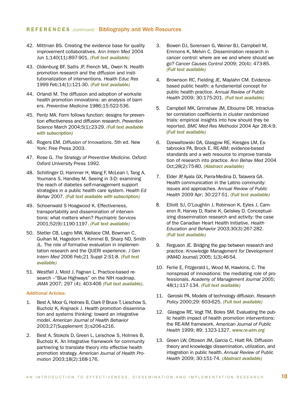#### REFERENCES *(continued)* Bibliography and Web Resources

- 42. Mittman BS. Creating the evidence base for quality improvement collaboratives. *Ann Intern Med* 2004 Jun 1;140(11):897-901. *[\(Full text available\)](http://www.annals.org/cgi/reprint/140/11/897)*
- 43. Oldenburg BF, Sallis JF, French ML, Owen N. Health promotion research and the diffusion and institutionalization of interventions. *Health Educ Res* 1999 Feb;14(1):121-30. *[\(Full text available\)](http://her.oxfordjournals.org/cgi/content/full/14/1/121)*
- 44. Orlandi M. The diffusion and adoption of worksite health promotion innovations: an analysis of barriers. *Preventive Medicine* 1986;15:522-536.
- 45. Pentz MA. Form follows function: designs for prevention effectiveness and diffusion research. *Prevention Science* March 2004;5(1):23-29. *[\(Full text available](http://www.springerlink.com/content/r008u4305602648v/fulltext.pdf)  [with subscription\)](http://www.springerlink.com/content/r008u4305602648v/fulltext.pdf)*
- 46. Rogers EM. *Diffusion of Innovations*. 5th ed. New York: Free Press 2003.
- 47. Rose G. *The Strategy of Preventive Medicine.* Oxford: Oxford University Press 1992.
- 48. Schillinger D, Hammer H, Wang F, McLean I, Tang A, Youmans S, Handley M. Seeing in 3-D: examining the reach of diabetes self-management support strategies in a public health care system. *Health Ed Behav* 2007. *[\(Full text available with subscription\)](http://heb.sagepub.com/cgi/reprint/35/5/664)*
- 49. Schoenwald S Hoagwood K. Effectiveness, transportability and dissemination of interventions: what matters when? *Psychiatric Services*  2001;52(9):1190-1197. *[\(Full text available\)](http://ps.psychiatryonline.org/cgi/content/full/52/9/1190)*
- 50. Stetler CB, Legro MW, Wallace CM, Bowman C, Guihan M, Hagedorn H, Kimmel B, Sharp ND, Smith JL. The role of formative evaluation in implementation research and the QUERI experience. *J Gen Intern Med* 2006 Feb;21 Suppl 2:S1-8. *[\(Full text](http://www.ncbi.nlm.nih.gov/pmc/articles/PMC2557128/?tool=pubmed)  [available\)](http://www.ncbi.nlm.nih.gov/pmc/articles/PMC2557128/?tool=pubmed)*
- 51. Westfall J, Mold J, Fagnan L. Practice-based research – "Blue Highways" on the NIH roadmap. *JAMA* 2007; 297 (4): 403-406 *[\(Full text available\)](http://jama.ama-assn.org/cgi/content/full/297/4/403)*.

#### Additional Articles:

- 1. Best A, Moor G, Holmes B, Clark P, Bruce T, Lieschow S, Bucholz K, Krajnack J. Health promotion dissemination and systems thinking: toward an integrative model. *American Journal of Health Behavior*  2003;27(Supplement 3):s206-s216.
- 2. Best A, Stokols D, Green L, Leischow S, Holmes B, Bucholz K. An Integrative framework for community partnering to translate theory into effective health promotion strategy. *American Journal of Health Promotion* 2003;18(2):168-176.
- 3. Bowen DJ, Sorensen G, Weiner BJ, Campbell M, Emmons K, Melvin C. Dissemination research in cancer control: where are we and where should we go? *Cancer Causes Control* 2009; 20(4): 473-85. *[\(Full text available\)](http://www.springerlink.com/content/9h172612p0170166/)*
- 4. Brownson RC, Fielding JE, Maylahn CM. Evidencebased public health: a fundamental concept for public health practice. *Annual Review of Public Health* 2009; 30:175-201. *[\(Full text available\)](http://arjournals.annualreviews.org/doi/abs/10.1146/annurev.publhealth.031308.100134?url_ver=Z39.88-2003&rfr_id=ori:rid:crossref.org&rfr_dat=cr_pub%3dncbi.nlm.nih.gov)*
- 5. Campbell MK, Grimshaw JM, Elbourne DR. Intracluster correlation coefficients in cluster randomized trials: empirical insights into how should they be reported. *BMC Med Res Methodol* 2004 Apr 28;4:9. (*[Full text available\)](http://www.biomedcentral.com/1471-2288/4/9)*
- 6. Dzewaltowski DA, Glasgow RE, Klesges LM, Estabrooks PA, Brock E. RE-AIM: evidence-based standards and a web resource to improve translation of research into practice. *Ann Behav Med* 2004 Oct;28(2):75-80. *[\(Abstract available\)](http://www.ncbi.nlm.nih.gov/pubmed/15454353?dopt=Abstract)*
- 7. Elder JP, Ayala GX, Parra-Medina D, Talavera GA. Health communication in the Latino community: issues and approaches. *Annual Review of Public Health* 2009 Apr; 30:227-51. *[\(Full text available\)](http://arjournals.annualreviews.org/doi/abs/10.1146/annurev.publhealth.031308.100300?url_ver=Z39.88-2003&rfr_id=ori:rid:crossref.org&rfr_dat=cr_pub%3dncbi.nlm.nih.gov)*
- 8. Elliott SJ, O'Loughlin J, Robinson K, Eyles J, Cameron R, Harvey D, Raine K, Gelskey D. Conceptualizing dissemination research and activity: the case of the Canadian Heart Health Initiative. *Health Education and Behavior* 2003;30(3):267-282. *[\(Full text available\)](http://heb.sagepub.com/cgi/content/abstract/30/3/267)*
- 9. Ferguson JE. Bridging the gap between research and practice. *Knowledge Management for Development*  (KM4D Journal) 2005; 1(3):46-54.
- 10. Ferlie E, Fitzgerald L, Wood M, Hawkins, C. The nonspread of innovations: the mediating role of professionals. *Academy of Management Journal* 2005; 48(1):117-134. *[\(Full text available\)](http://dccps.cancer.gov/d4d/nonspread.pdf)*
- 11. Geroski PA. Models of technology diffusion. *Research Policy* 2000;29: 603-625. *[\(Full text available\)](http://www.sciencedirect.com/science?_ob=ArticleURL&_udi=B6V77-40379X9-B&_user=10843&_coverDate=04%2F30%2F2000&_rdoc=10&_fmt=full&_orig=browse&_srch=doc-info%28%23toc%235835%232000%23999709995%23190044%23FLA%23display%23Volume%29&_cdi=5835&_sort=d&_docanchor=&view=c&_ct=12&_acct=C000000150&_version=1&_urlVersion=0&_userid=10843&md5=ef1e1d0bc5e052034c28cbf19bf12281)*
- 12. Glasgow RE, Vogt TM, Boles SM. Evaluating the public health impact of health promotion interventions: the RE-AIM framework. *American Journal of Public Health* 1999; 89: 1323-1327. *[www.re-aim.org](http://re-aim.org/)*
- 13. Green LW, Ottoson JM, Garcia C, Hiatt RA. Diffusion theory and knowledge dissemination, utilization, and integration in public health. *Annual Review of Public Health* 2009; 30:151-74. *[\(Abstract available\)](http://www.ncbi.nlm.nih.gov/pubmed/19705558?ordinalpos=1&itool=EntrezSystem2.PEntrez.Pubmed.Pubmed_ResultsPanel.Pubmed_DefaultReportPanel.Pubmed_RVDocSum)*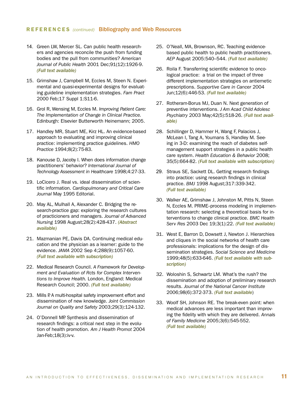#### REFERENCES *(continued)* Bibliography and Web Resources

- 14. Green LW, Mercer SL. Can public health researchers and agencies reconcile the push from funding bodies and the pull from communities? *American Journal of Public Health* 2001 Dec;91(12):1926-9. *[\(Full text available\)](http://www.ajph.org/cgi/content/full/91/12/1926)*
- 15. Grimshaw J, Campbell M, Eccles M, Steen N. Experimental and quasi-experimental designs for evaluating guideline implementation strategies. *Fam Pract* 2000 Feb;17 Suppl 1:S11-6.
- 16. Grol R, Wensing M, Eccles M. *Improving Patient Care: The Implementation of Change in Clinical Practice.* Edinburgh: Elsevier Butterworth Heinemann; 2005.
- 17. Handley MR, Stuart ME, Kirz HL. An evidence-based approach to evaluating and improving clinical practice: implementing practice guidelines. *HMO Practice* 1994;8(2):75-83.
- 18. Kanouse D, Jacoby I. When does information change practitioners' behavior? *International Journal of Technology Assessment in Healthcare* 1998;4:27-33.
- 19. LoCicero J. Real vs. ideal dissemination of scientific information. *Cardiopulmonary and Critical Care Journal* May 1995 Editorial.
- 20. May AL, Mulhall A, Alexander C. Bridging the research-practice gap: exploring the research cultures of practicioners and managers. *Journal of Advanced Nursing* 1998 August;28(2):428-437. *[\(Abstract](http://www3.interscience.wiley.com/journal/119123229/abstract?CRETRY=1&SRETRY=0)  [available\)](http://www3.interscience.wiley.com/journal/119123229/abstract?CRETRY=1&SRETRY=0)*
- 21. Mazmanian PE, Davis DA. Continuing medical education and the physician as a learner: guide to the evidence. *JAMA* 2002 Sep 4;288(9):1057-60. *[\(Full text available with subscription\)](http://jama.ama-assn.org/cgi/content/full/288/9/1057)*
- 22. Medical Research Council. *A Framework for Development and Evaluation of Rcts for Complex Interventions to Improve Health.* London, England: Medical Research Council; 2000. *[\(Full text available\)](http://www.mrc.ac.uk/Utilities/Documentrecord/index.htm?d=MRC003372)*
- 23. Mills P. A multi-hospital safety improvement effort and dissemination of new knowledge. *Joint Commission Journal on Quality and Safety* 2003;29(3):124-132.
- 24. O'Donnell MP. Synthesis and dissemination of research findings: a critical next step in the evolution of health promotion. *Am J Health Promot* 2004 Jan-Feb;18(3):iv-v.
- 25. O'Neall, MA, Brownson, RC. Teaching evidencebased public health to public health practitioners. *AEP* August 2005:540–544. *[\(Full text available\)](http://dccps.cancer.gov/d4d/oneall_teaching_ebph.pdf)*
- 26. Roila F. Transferring scientific evidence to oncological practice: a trial on the impact of three different implementation strategies on antiemetic prescriptions. *Supportive Care in Cancer* 2004 Jun;12(6):446-53. *[\(Full text available\)](http://www.springerlink.com/content/34qu4h3n87640163/)*
- 27. Rotheram-Borus MJ, Duan N. Next generation of preventive interventions. *J Am Acad Child Adolesc Psychiatry* 2003 May;42(5):518-26. *[\(Full text avail](http://journals.lww.com/jaacap/pages/articleviewer.aspx?year=2003&issue=05000&article=00007&type=abstract)[able\)](http://journals.lww.com/jaacap/pages/articleviewer.aspx?year=2003&issue=05000&article=00007&type=abstract)*
- 28. Schillinger D, Hammer H, Wang F, Palacios J, McLean I, Tang A, Youmans S, Handley M. Seeing in 3-D: examining the reach of diabetes selfmanagement support strategies in a public health care system. *Health Education & Behavior* 2008; 35(5):664-82. *[\(Full text available with subscription\)](http://heb.sagepub.com/cgi/reprint/35/5/664)*
- 29. Straus SE, Sackett DL. Getting research findings into practice: using research findings in clinical practice. *BMJ* 1998 August;317:339-342. *[\(Full text available\)](http://www.bmj.com/cgi/content/full/317/7154/339)*
- 30. Walker AE, Grimshaw J, Johnston M, Pitts N, Steen N, Eccles M. PRIME-process modeling in implementation research: selecting a theoretical basis for interventions to change clinical practice. *BMC Health Serv Res* 2003 Dec 19;3(1):22. *[\(Full text available\)](http://www.biomedcentral.com/1472-6963/3/22)*
- 31. West E, Barron D, Dowsett J, Newton J. Hierarchies and cliques in the social networks of health care professionals: implications for the design of dissemination strategies. *Social Science and Medicine*  1999;48(5):633-646. *[\(Full text available with sub](http://www.sciencedirect.com/science?_ob=ArticleURL&_udi=B6VBF-3VKD1V8-5&_user=10&_handle=B-WA-A-A-AW-MsSAYVA-UUW-AUYDDWCYAE-AUYCBUZZAE-VWZVCECYZ-AW-U&_fmt=summary&_coverDate=03%2F31%2F1999&_rdoc=5&_orig=browse&_srch=%23toc%235925%231999%23999519994%2349830!&_cdi=5925&view=c&_acct=C000050221&_version=1&_urlVersion=0&_userid=10&md5=66ec2f8ca4241823ac220df4c785e250)[scription\)](http://www.sciencedirect.com/science?_ob=ArticleURL&_udi=B6VBF-3VKD1V8-5&_user=10&_handle=B-WA-A-A-AW-MsSAYVA-UUW-AUYDDWCYAE-AUYCBUZZAE-VWZVCECYZ-AW-U&_fmt=summary&_coverDate=03%2F31%2F1999&_rdoc=5&_orig=browse&_srch=%23toc%235925%231999%23999519994%2349830!&_cdi=5925&view=c&_acct=C000050221&_version=1&_urlVersion=0&_userid=10&md5=66ec2f8ca4241823ac220df4c785e250)*
- 32. Woloshin S, Schwartz LM. What's the rush? the dissemination and adoption of preliminary research results. *Journal of the National Cancer Institute* 2006;98(6):372-373. *[\(Full text available](http://jnci.oxfordjournals.org/cgi/content/full/98/6/372)*)
- 33. Woolf SH, Johnson RE. The break-even point: when medical advances are less important than improving the fidelity with which they are delivered. *Annals of Family Medicine* 2005;3(6):545-552. *[\(Full text available\)](http://www.annfammed.org/cgi/content/full/3/6/545)*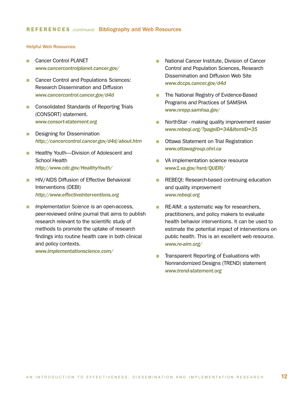#### Helpful Web Resources:

- **n** Cancer Control PLANET *<www.cancercontrolplanet.cancer.gov/>*
- **n** Cancer Control and Populations Sciences: Research Dissemination and Diffusion *<www.cancercontrol.cancer.gov/d4d>*
- Consolidated Standards of Reporting Trials (CONSORT) statement. *[www.consort-statement.org](http://www.consort-statement.org)*
- **n** Designing for Dissemination *<http://cancercontrol.cancer.gov/d4d/about.htm>*
- Healthy Youth—Division of Adolescent and School Health *<http://www.cdc.gov/HealthyYouth/>*
- **HIV/AIDS Diffusion of Effective Behavioral** Interventions (DEBI) *[http://www.effectiveinterventions.org](http://www.effectiveinterventions.org )*
- **n** *Implementation Science* is an open-access, peer-reviewed online journal that aims to publish research relevant to the scientific study of methods to promote the uptake of research findings into routine health care in both clinical and policy contexts.

*<www.implementationscience.com/>*

- n National Cancer Institute, Division of Cancer Control and Population Sciences, Research Dissemination and Diffusion Web Site *<www.dccps.cancer.gov/d4d>*
- **n** The National Registry of Evidence-Based Programs and Practices of SAMSHA *[www.nrepp.samhsa.gov/](www.nrepp.samhsa.gov/ )*
- NorthStar making quality improvement easier *[www.rebeqi.org/?pageID=34&ItemID=35](www.rebeqi.org/?pageID=34&ItemID=35 )*
- **n** Ottawa Statement on Trial Registration *[www.ottawagroup.ohri.ca](http://www.ottawagroup.ohri.ca)*
- **N** VA implementation science resource *[www1.va.gov/hsrd/QUERI/](http://www1.va.gov/hsrd/QUERI/  )*
- **REBEQI: Research-based continuing education** and quality improvement *[www.rebeqi.org](http://www.rebeqi.org)*
- **n** RE-AIM: a systematic way for researchers, practitioners, and policy makers to evaluate health behavior interventions. It can be used to estimate the potential impact of interventions on public health. This is an excellent web resource. *[www.re-aim.org/](http://re-aim.org/)*
- **n** Transparent Reporting of Evaluations with Nonrandomized Designs (TREND) statement *[www.trend-statement.org](http://www.trend-statement.org )*